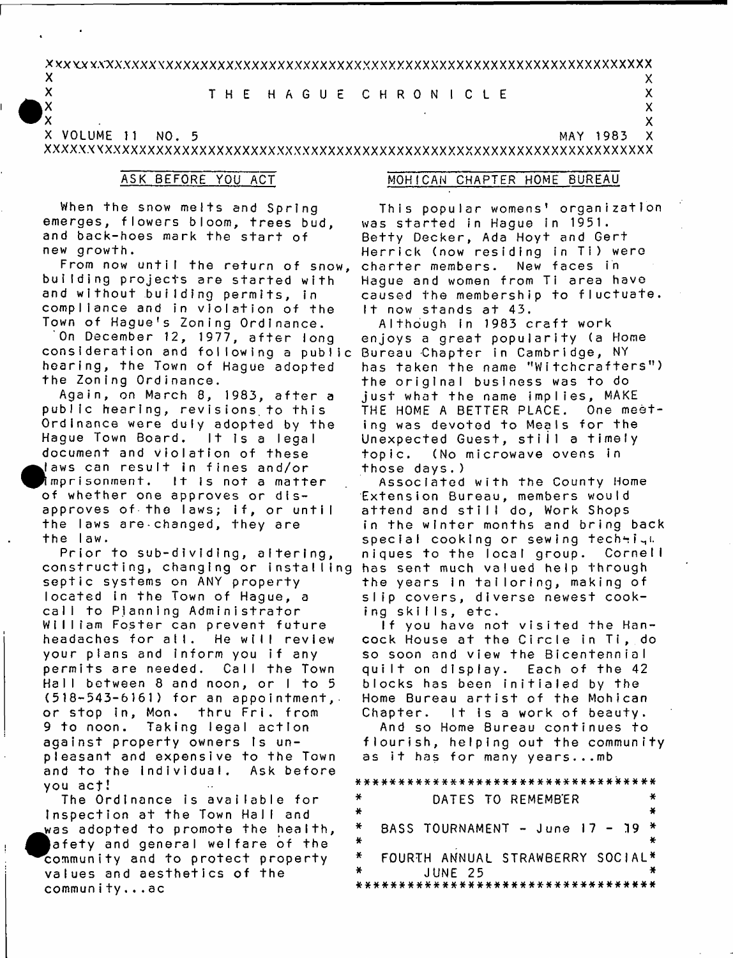### $\mathbf x$ XXXXXXXXXXXXXXXXXXXXXXXXXXXXXXXXXXXXXXXXXXXXXXXXXXXXXXXXXXXXXXXXXXX^XXX

### $\mathsf{X}$   $\mathsf{X}$ X THE HAGUE CHRONICLE X

XXXXXXXXXXXXXXXXXXXXXXXXXXXXXXXXXXXXXXXXXXXXXXXXXXXXXXXXXXXXXXX'XXXXXXXX A VOLUME 11 NO. 5 AVW E861 MAY 1983 X

 $\mathsf{X}$  x  $\mathsf{X}$ 

new growth. and back-hoes mark the start of emerges, flowers bloom, trees bud. When the snow melts and Spring

Town of Hague's Zoning Ordinance. compliance and in violation of the and without building permits, in building projects are started with From now until the return of snow,

consideration and following a public Bureau Chapter in Cambridge, NY the Zoning Ordinance. hearing, the Town of Hague adopted On December 12, 1977, after long

the law. the laws are changed, they are approves of the laws; if, or until of whether one approves or disimprisonment. It is not a matter laws can result in fines and/or document and violation of these Hague Town Board. It is a legal Ordinance were duly adopted by the public hearing, revisions to this Again, on March 8, 1983, after a

**vou** act! and to the individual. Ask before pleasant and expensive to the Town against property owners is un-9 to noon. Taking legal action or stop in, Mon. thru Fri. from  $(518 - 543 - 6161)$  for an appointment, Hall between 8 and noon, or I to 5 permits are needed. Call the Town your plans and inform you if any headaches for all. He will review William Foster can prevent future call to Planning Administrator located in the Town of Haque, a septic systems on ANY property constructing, changing or installing Prior to sub-dividing, altering,

community...ac values and aesthetics of the community and to protect property afety and general welfare of the was adopted to promote the health, Inspection at the Town Hall and The Ordinance is available for

## ASK BEFORE YOU ACT MOHICAN CHAPTER HOME BUREAU

**1 t** now stands at 43. **caused the membership to fluctuate.** Haque and women from Ti area have  $R$  charter members. New faces in Herrick (now residing in Ti) were Betty Decker, Ada Hoyt and Gert **was started in Hague in 1951. This popular womens' organization** 

**fhose days.)**  $topic.$  (No microwave ovens in Unexpected Guest, still a timely ing was devoted to Meals for the 1 **H** 3 **H** 0 **W** 3 **V** 9 3 1 1 3 9 **BOVld ' ©uo -4001x1** just what the name implies, MAKE the original business was to do  $\mathbf{h}$  as taken the name "Witchcrafters") enjoys a great popularity (a Home **Although in 1983 craft work** 

 $ing$  skills, etc.  $S$  **1ip** covers, diverse newest cook**the years in tailoring, making of**  $has$  sent much valued help through  $n$  iques to the local group. Cornell  $\frac{1}{2}$  special cooking or sewing techti<sub>n</sub> in the winter months and bring back  $a$ <sup>+</sup> tend and still do, Work Shops **Extension Bureau, members would Associated with the County Home** 

Chapter. It is a work of beauty. Home Bureau artist of the Mohican **blocks** has been initialed by the quilt on display. Each of the 42  $so$  soon and view the Bicentennial  $\mathsf{cock}$  House at the Circle in Ti, do  $1$ f you have not visited the Han-

**as it has for many years...mb**  $f$ lourish, helping out the community And so Home Bureau continues to

a # # # # # \* \* # # \* # \* \* # \* ###### \* \* \* \* \* \* \* \* \* \* \* \* \*  $*$  **DATES TO REMEMBER**  # *¥k*  **© u n p - i N B W V N d n O i S S V 8 \*** *L \* **\* 61 -**  米 \* FOURTH ANNUAL STRAWBERRY SOCIAL\* **JUNE 25** \*\*\*\*\*\*\*\*\*\*\*\*\*\*\*\*\*\*\*\*\*\*\*\*\*\*\*\*\*\*\*\*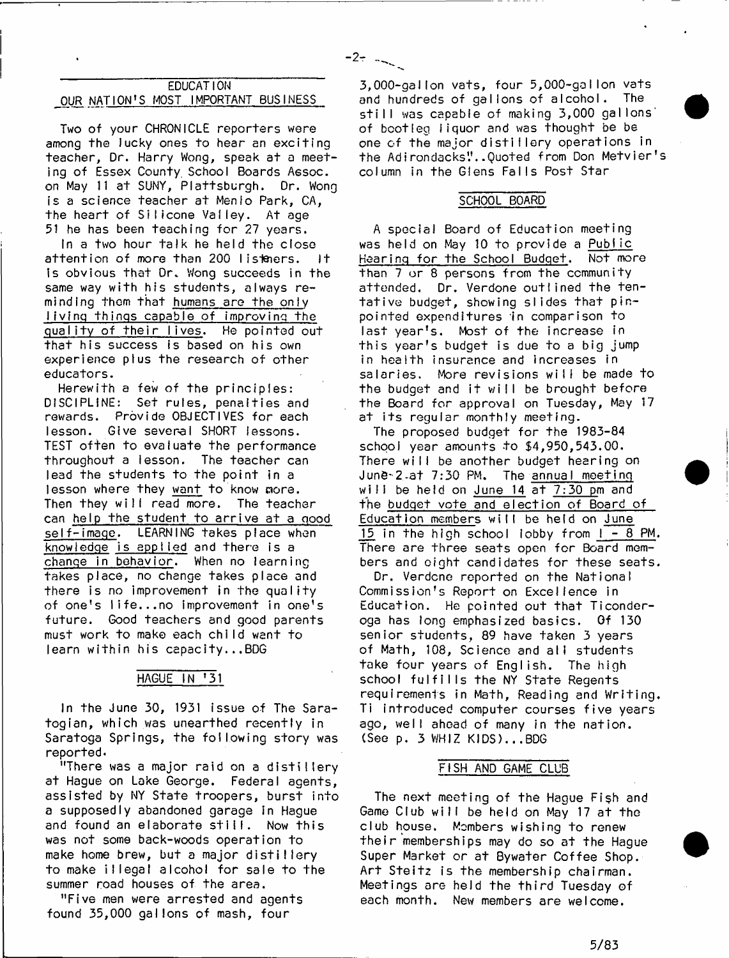## EDUCATI ON OUR NATION'S MOST IMPORTANT BUSINESS

Two of your CHRONICLE reporters were among the lucky ones to hear an exciting teacher, Dr. Harry Wong, speak at a meeting of Essex County. School Boards Aesoc. on May 11 at SUNY, Plattsburgh. Dr. Wong is a science teacher at Menio Park, CA, the heart of Silicone Valley. At age 51 he has been teaching for 27 years.

In a two hour talk he held the close attention of more than 200 listeners. It Is obvious that Dr. Wong succeeds in the same way with his students, always reminding them that humans are the only living things capable of improving the quality of their lives. He pointed out that his success is based on his own experience plus the research of other educators.

Herewith a few of the principles: DISCIPLINE: Set rules, penalties and rewards. Provide OBJECTIVES for each lesson. Give several SHORT lessons. TEST often to evaluate the performance throughout a lesson. The teacher can lead the students to the point in a lesson where they want to know more. Then they will read more. The teacher can help the student to arrive at a good self-image. LEARNING takes place when knowledge is applied and there is a change in behavior. When no learning takes place, no change takes place and there is no improvement in the quality of one's life... no improvement in one's future. Good teachers and good parents must work to make each child want to  $learn with in his capacity...BDG$ 

## HAGUE IN '31

In the June 30, 1931 issue of The Saratogian, which was unearthed recently in Saratoga Springs, the following story was reported.

"There was a major raid on a distillery at Hague on Lake George. Federal agents, assisted by NY State troopers, burst into a supposedly abandoned garage in Hague and found an elaborate still. Now this was not some back-woods operation to make home brew, but a major distillery to make illegal alcohol for sale to the summer road houses of the area.

"Five men were arrested and agents found 35,000 gallons of mash, four

3,000-gallon vats, four 5,000-gallon vats and hundreds of gallons of alcohol. The still was capable of making 3,000 gallons' of bootleg liquor and was thought be be one of the major distillery operations in the Adirondacks"..Quoted from Don Metvier's column in the Glens Falls Post Star

 $-2$ - $-$ 

### SCHOOL BOARD

A special Board of Education meeting was held on May 10 to provide a Public Hearing for the School Budget. Not more than 7 or 8 persons from the community attended. Dr. Verdone outlined the tentative budget, showing slides that pinpointed expenditures in comparison to last year's. Most of the increase in this year's budget is due to a big jump in health insurance and increases in salaries. More revisions will be made to the budget and it will be brought before the Board for approval on Tuesday, May 17 at its regular monthly meeting.

The proposed budget for the 1983-84 school year amounts to \$4,950,543.00. There will be another budget hearing on June-2 at  $7:30$  PM. The annual meeting will be held on June  $14$  at  $7:30$  pm and the budget vote and election of Board of Education members will be held on June 15 in the high school lobby from  $1 - 8$  PM. There are three seats open for Board members and eight candidates for these seats.

Dr. Verdcne reported on the National Commission's Report on Excellence in Education. He pointed out that Ticonderoga has long emphasized basics. Of 130 senior students, 89 have taken 3 years of Math, 108, Science and all students take four years of English. The high school fulfills the NY State Regents requirements in Math, Reading and Writing. Ti introduced computer courses five years ago, well ahead of many in the nation. (See  $p. 3$  WHIZ KIDS)...BDG

### FISH AND GAME CLUB

The next meeting of the Hague Fish and Game Club will be held on May 17 at the club house. Members wishing to renew their memberships may do so at the Hague Super Market or at Bywater Coffee Shop. Art Steitz is the membership chairman. Meetings are held the th ird Tuesday of each month. New members are welcome.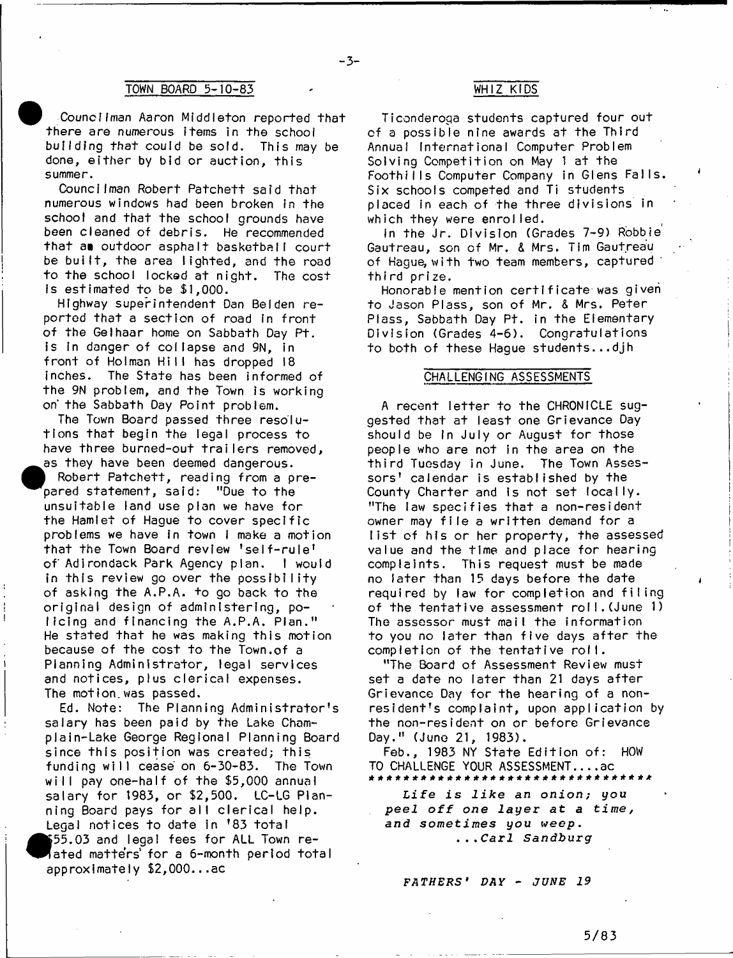## TOWN BOARD 5-10-83 WHIZ KIDS

Councilman Aaron Middleton reported that there are numerous Items in the school building that could be sold. This may be done, either by bid or auction, this summer.

Councilman Robert Patchett said that numerous windows had been broken in the school and that the school grounds have been cleaned of debris. He recommended that an outdoor asphalt basketbail court be built, the area lighted, and the road to the school locked at night. The cost is estimated to be  $$1,000$ .

Highway superintendent Dan Belden reported that a section of road in front of the Gelhaar home on Sabbath Day Pt. is in danger of collapse and 9N, in front of Holman Hill has dropped 18 inches. The State has been informed of the 9N problem, and the Town is working on' the Sabbath Day Point problem.

The Town Board passed three resolutions that begin the legal process to have three burned-out trailers removed, as they have been deemed dangerous.

Robert Patchett, reading from a prepared statement, said: "Due to the unsuitable land use plan we have for the Hamlet of Haque to cover specific problems we have in town I make a motion that the Town Board review 'self-rule' of Adirondack Park Agency plan. I would in this review go over the possibility of asking the A.P.A. to go back to the original design of administering, policing and financing the A.P.A. Plan." He stated that he was making this motion because of the cost to the Town.of a Planning AdminIstrator, legal services and notices, plus clerical expenses. The motion.was passed.

Ed. Note: The Planning Administrator's salary has been paid by the Lake Champlain-Lake George Regional Planning Board since this position was created; this funding will cease on 6-30-83. The Town will pay one-half of the \$5,000 annual salary for 1983, or \$2,500. LC-LG Planning Board pays for all clerical help. Legal notices to date in '83 total  $$55,03$  and legal fees for ALL Town reated matters for a 6-month period total approximately \$2,000...ac

 $-3-$ 

Ticonderoga students captured four out of a possible nine awards at the Third Annual International Computer Problem Solving Competition on May 1 at the Foothiils Computer Company in Glens Falls. Six schools competed and Ti students placed in each of the three divisions in which they were enrolled.

In the Jr. Division (Grades 7-9) Robbie Gautreau, son of Mr. & Mrs. Tim Gautreau of Hague; w ith two team members, captured th ird prize.

Honorable mention certificate was given to Jason Plass, son of Mr. & Mrs. Peter Plass, Sabbath Day Pt. in the Elementary Division (Grades 4-6). Congratulations to both of these Haque students...djh

### CHALLENGING ASSESSMENTS

A recent letter to the CHRONICLE suggested that at least one Grievance Day should be in July or August for those people who are not in the area on the third Tuesday in June. The Town Assessors' calendar is established by the County Charter and is not set locally. "The law specifies that a non-resident owner may file a written demand for a list of his or her property, the assessed value and the time and place for hearing complaints. This request must be made no later than 15 days before the date required by law for completion and filing of the tentative assessment roll. (June 1) The assessor must mail the information to you no later than five days after the completion of the tentative roll.

"The Board of Assessment Review must set a date no later than 21 days after Grievance Day for the hearing of a nonresident's complaint, upon application by the non-resident on or before Grievance Day." (June 21, 1983).

Feb., 1983 NY State Edition of: HOW TO CHALLENGE YOUR ASSESSMENT.... $ac$ \* \* \*\* \* \* \* \* \* \* \* \* \* \* \* \* \* \* \* \* \* \* \* \* \* \* \* \* \* \* \* \* \*

Life is like an onion; you peel off one layer at a time, *and sometimes you weep* . . . . C a r l *Sandburg*

*FATHERS1 DAY* - *JUNE 19*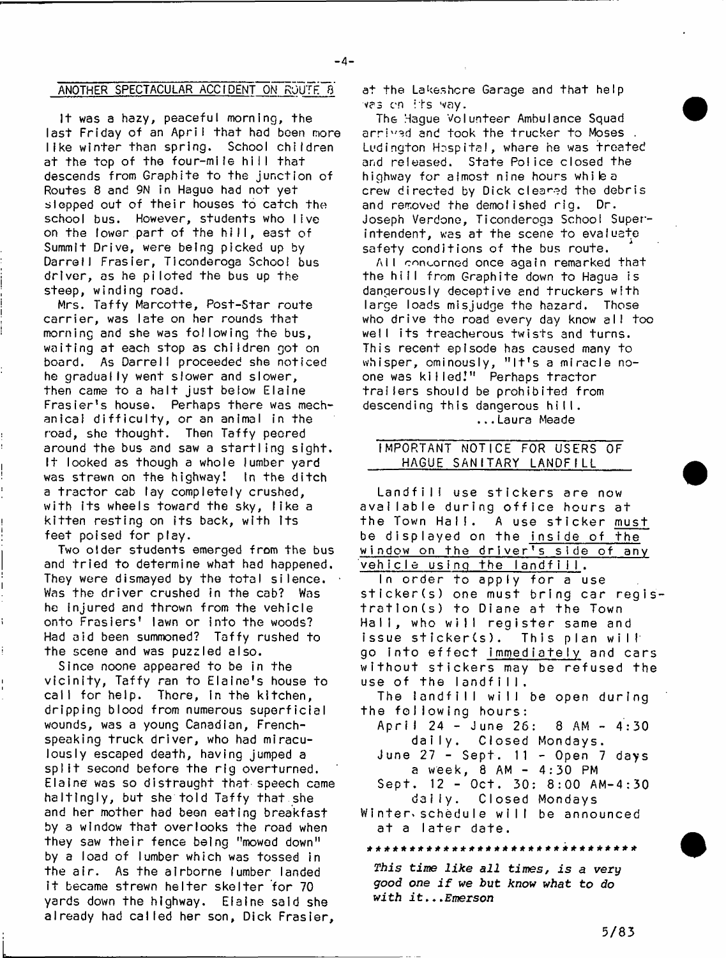### $-4-$

## ANOTHER SPECTACULAR ACCIDENT ON ROUTE 8

It was a hazy, peaceful morning, the last Friday of an April that had been more like winter than spring. School children at the top of the four-mile hill that descends from Graphite to the junction of Routes 8 and 9N in Hague had not yet slepped out of their houses to catch the school bus. However, students who live on the lower part of the hill, east of Summit Drive, were being picked up by Darrell Frasier, Ticonderoga School bus driver, as he piloted the bus up the steep, winding road.

Mrs. Taffy Marcotte, Post-Star route carrier, was late on her rounds that morning and she was following the bus, waiting at each stop as children got on board. As Darrell proceeded she noticed he gradually went slower and slower. then came to a halt just below Elaine Frasier's house. Perhaps there was mechanical difficulty, or an animal in the road, she thought. Then Taffy peered around the bus and saw a startling sight. It looked as though a whole lumber yard was strewn on the highway! In the ditch a tractor cab lay completely crushed, with its wheels toward the sky, like a kitten resting on its back, with its feet poised for play.

Two older students emerged from the bus and tried to determine what had happened. They were dismayed by the total silence. Was the driver crushed in the cab? Was he injured and thrown from the vehicle onto Frasiers' lawn or into the woods? Had aid been summoned? Taffy rushed to the scene and was puzzled also.

Since noone appeared to be in the vicinity, Taffy ran to Elaine's house to call for help. There, in the kitchen, dripping blood from numerous superficial wounds, was a young Canadian, Frenchspeaking truck driver, who had miraculously escaped death, having jumped a split second before the rig overturned. Elaine was so distraught that speech came haltingly, but she told Taffy that she and her mother had been eating breakfast by a window that overlooks the road when they saw their fence being "mowed down" by a load of lumber which was fossed in the air. As the airborne lumber landed it became strewn helter skelter for 70 yards down the highway. Elaine said she already had called her son, Dick Frasier,

at the Lakeshore Garage and that help vas en its way.

The Hague Volunteer Ambulance Squad arrived and took the trucker to Moses. Ludington Hospital, where he was treated and released. State Police closed the highway for almost nine hours while a crew directed by Dick cleaned the debris and removed the demolished rig. Dr. Joseph Verdone, Ticonderoga School Superintendent, was at the scene to evaluate safety conditions of the bus route.

All concorned once again remarked that the hill from Graphite down to Hague is dangerously deceptive and truckers with large loads misjudge the hazard. Those who drive the road every day know all too well its treacherous twists and turns. This recent episode has caused many to whisper, ominously, "It's a miracle noone was killed!" Perhaps tractor trailers should be prohibited from descending th is dangerous hill. . . . Laura Meade

## IMPORTANT NOTICE FOR USERS OF HAGUE SANITARY LANDFILL

Landfill use stickers are now available during office hours at the Town Hall. A use sticker must be displayed on the inside of the window on the driver's side of any vehicle using the landfill. In order to apply for a use sticker (s) one must bring car registration(s) to Diane at the Town Hall, who will register same and issue sticker(s). This plan will go into effect immediately and cars without stickers may be refused the use of the landfill. The landfill will be open during the following hours: A p r i I 24 - June 25: 8 AM - 4 : 3 0 daily. Closed Mondays. June 27 - Sept. 11 - Open 7 days a week, 8 AM - 4:30 PM  $Sept. 12 - Oct. 30: 8:00 AM-4:30$ daily. Closed Mondays Winter.scheduIe w ill be announced at a later date.

### \*\*\*\*\*\*\*\*\*\*\*\*\*\*\*\*\*\*\*\*\*\*\*]»\*\*\*\*\*\*\*\*

*This time like all times, is a very good one if we but know what to do with* i t ... *Emerson*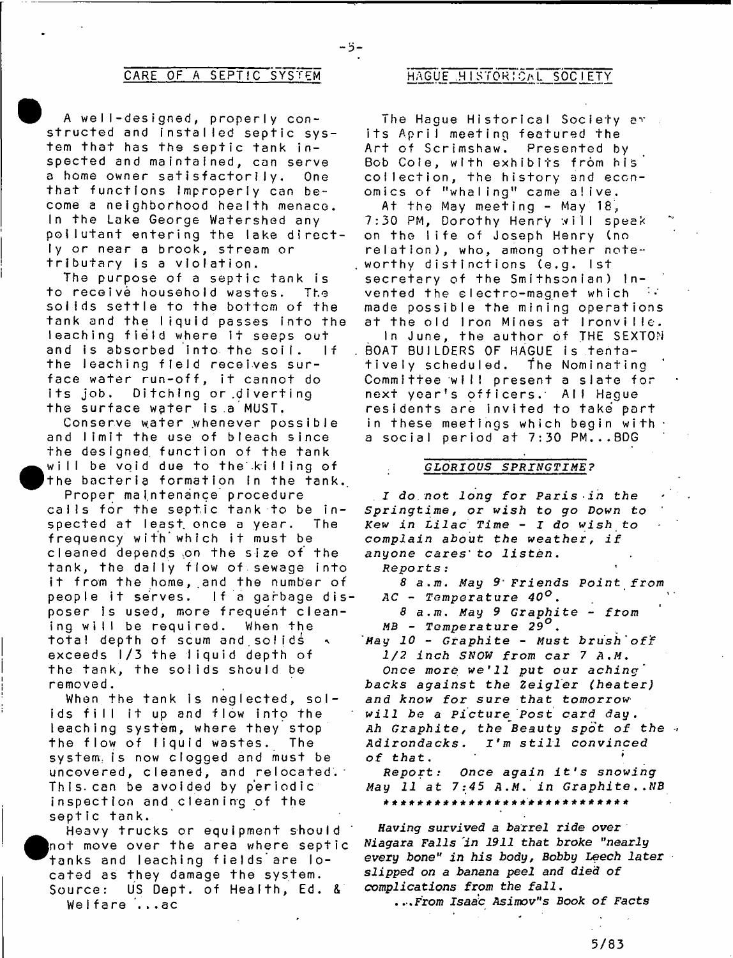- 5-

A well-designed, properly constructed and installed septic system that has the septic tank inspected and maintained, can serve a home owner satisfactorily. One that functions Improperly can become a neighborhood health menace. In the Lake George Watershed any pollutant entering the lake directly or near a brook, stream or tributary is a violation.

The purpose of a septic tank is to receive household wastes. The solids settle to the bottom of the tank and the liquid passes into the leaching field where it seeps out and is absorbed into the soil. If the leaching field receives surface water run-off, it cannot do its job. Ditching or.diverting the surface water is a MUST.

Conserve water whenever possible and limit the use of bleach since the designed, function of the tank will be void due to the killing of the bacteria formation in the tank.

**•** 

P roper maintenance procedure calls for the septic tank to be in-<br>spected at least once a year. The spected at least once a year. frequency with which it must be cleaned depends on the size of the tank, the daily flow of sewage into it from the home, and the number of people it serves. If a garbage disposer is used, more frequent cleaning will be required. When the total depth of scum and solids exceeds  $1/3$  the liquid depth of the tank, the solids should be removed.

When the tank is neglected, solids fill it up and flow into the leaching system, where they stop th e flow of liquid wastes. The system, is now clogged and must be uncovered, cleaned, and relocated. This can be avoided by periodic inspection and cleaning of the septic tank.

Heavy trucks or equipment should not move over the area where septic tanks and leaching fields are Iocated as they damage the system.<br>Source: US Dept. of Health, Ed. US Dept. of Health, Ed. & Welfare ...ac

## CARE OF A SEPTIC SYSTEM HAGUE HISTORICAL SOCIETY

The Hague Historical Society av its April meeting featured the Art of Scrimshaw. Presented by Bob Cole, with exhibits from his coilection, the history and economics of "whaling" came alive.

At the May meeting - May  $18$ , 7:30 PM, Dorothy Henry will speak on the life of Joseph Henry (no relation), who, among other noteworthy distinctions (e.g. 1st secretary of the Smithsonian) Invented the electro-magnet which made possible the mining operations at the old Iron Mines at Ironville. In June, the author of THE SEXTON BOAT BUILDERS OF HAGUE is tentatively scheduled. The Nominating Committee will present a slate for next year's officers. All Hague residents are invited to take part in these meetings which begin with a social period at 7:30 PM... $BOG$ 

### *GLORIOUS SPRINGTIME?*

*I do not long for Paris in the S p r i n g t i m e , or wish to go Down to Kew in Lilac Time - I do wish to complain about the weather, if* anyone cares' to listen.

*Reports* :

*8 a.m. May Friends Point from AC* - Temperature *40°.*

*8 a. m. May 9 G r a p h i t e* - *from MB* - *Temperature 29°.*

*May 10* - *Graphite* - Must *brush'off 1 / 2 i n c h SNOW f rom c a r* 7 *A.M.*

*Once more we'll put our aching' backs against the Zeigler (heater)* and know for sure that tomorrow *w i l l be a P i c t u r e ' Post c a r d d a y .* Ah Graphite, the Beauty spot of the Adirondacks. I'm still convinced *of th a t* . \*

*R e p o r t : Once a g a i n i t ' s s no w i n g May 11 at 7:45 A.M. in Graphite..NB* 

Having survived a barrel ride over *Niagara Falls in 1911 that broke "nearly* every bone" in his body, Bobby Leech later *slip p ed on a banana peel and died o f complications from the fall.*

*. . . From Isaac Asimov"s Book o f Facts*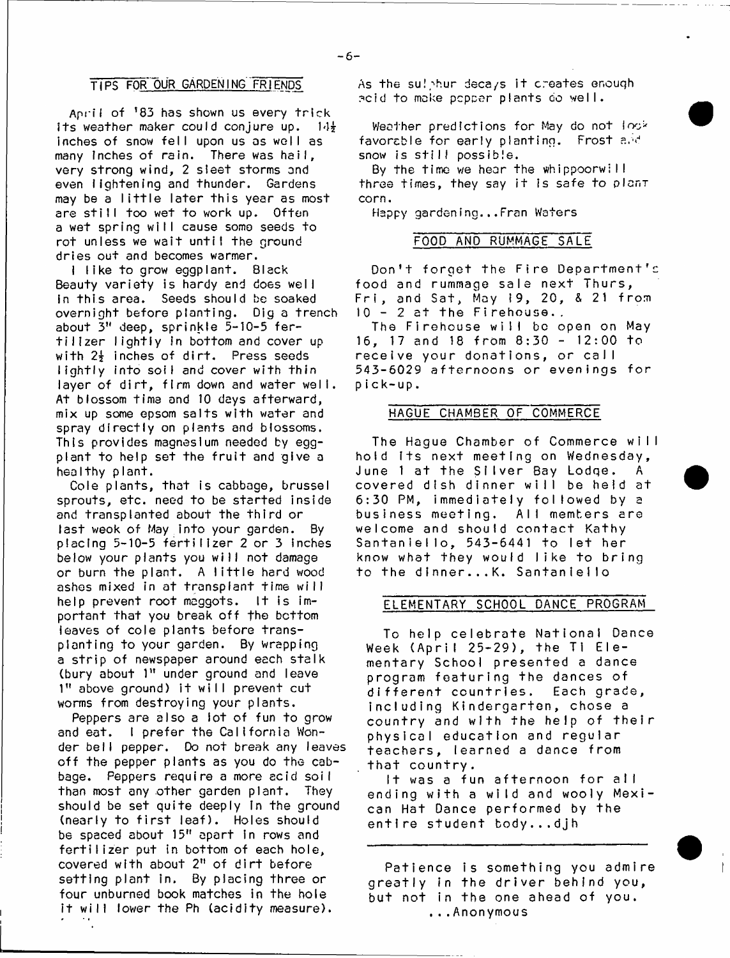## TIPS FOR OUR GARDENING FRIENDS

Anril of <sup>1</sup>83 has shown us every trick its weather maker could conjure up.  $14\frac{1}{2}$ inches of snow fell upon us as well as many inches of rain. There was hail, very strong wind, 2 sleet storms and even lightening and thunder. Gardens may be a little later this year as most are still too wet to work up. Often a wet spring will cause some seeds to rot unless we wait until the ground dries out and becomes warmer.

I like to grow eggplant. Black Beauty variety is hardy and does well in this area. Seeds should be soaked overnight before planting. Dig a trench about 3" deep, sprinkle 5-10-5 fertilizer lightly in bottom and cover up with 2<sup>}</sup> inches of dirt. Press seeds lightly into soil and cover with thin layer of dirt, firm down and water well. At blossom time and 10 days afterward, mix up some epsom salts with water and spray directly on plants and blossoms. This provides magnesium needed by eggplant to help set the fruit and give a healthy plant.

Cole plants, that is cabbage, brussel sprouts, etc. need to be started inside and transplanted about the third or last weok of May into your garden. By placing 5-10-5 fertilizer 2 or 3 inches below your plants you will not damage or burn the plant. A little hard wood ashes mixed in at transplant time will help prevent root maggots. It is important that you break off the bottom leaves of cole plants before transplanting to your garden. By wrapping a strip of newspaper around each stalk (bury about 1" under ground and leave 1" above ground) it will prevent cut worms from destroying your plants.

Peppers are also a lot of fun to grow and eat. I prefer the California Wonder bell pepper. Do not break any leaves off the pepper plants as you do the cabbage. Peppers require a more acid soil than most any other garden plant. They should be set quite deeply in the ground (nearly to first leaf). Holes should be spaced about 15" apart in rows and fertilizer put in bottom of each hole, covered with about 2" of dirt before setting plant in. By placing three or four unburned book matches in the hole it will lower the Ph (acidity measure).

٠.

As the sulphur deca/s it creates enough acid to make pepper plants do well.

Weather predictions for May do not look favorable for early planting. Frost and snow is stiIf possible.

By the time we hear the whippoorwi I I three times, they say it is safe to plant corn.

Happy gardening...Fran Waters

### FOOD AND RUMMAGE SALE

Don't forget the Fire Department's food and rummage sale next Thurs, Fri, and Sat, May 19, 20, & 21 from  $10 - 2$  at the Firehouse..

The Firehouse will be open on May 16, 17 and 18 from  $8:30 - 12:00$  to receive your donations, or call 543-6029 afternoons or evenings for pick-up.

### HAGUE CHAMBER OF COMMERCE

The Hague Chamber of Commerce will hold its next meeting on Wednesday, June 1 at the Silver Bay Lodge. A covered dish dinner will be held at 6:30 PM, immediately followed by a business meeting. All members are welcome and should contact Kathy Santaniello, 543-6441 to let her know what they would like to bring to the dinner...K. Santanleiio

### ELEMENTARY SCHOOL DANCE PROGRAM

To help celebrate National Dance Week (April 25-29), the Ti Elementary School presented a dance program featuring the dances of different countries. Each grade, including Kindergarten, chose a country and with the help of their physical education and regular teachers, learned a dance from that country.

It was a fun afternoon for all ending with a wild and wooly Mexican Hat Dance performed by the entire student body...djh

Patience is something you admire greatly in the driver behind you, but not in the one ahead of you. . . . Anonymous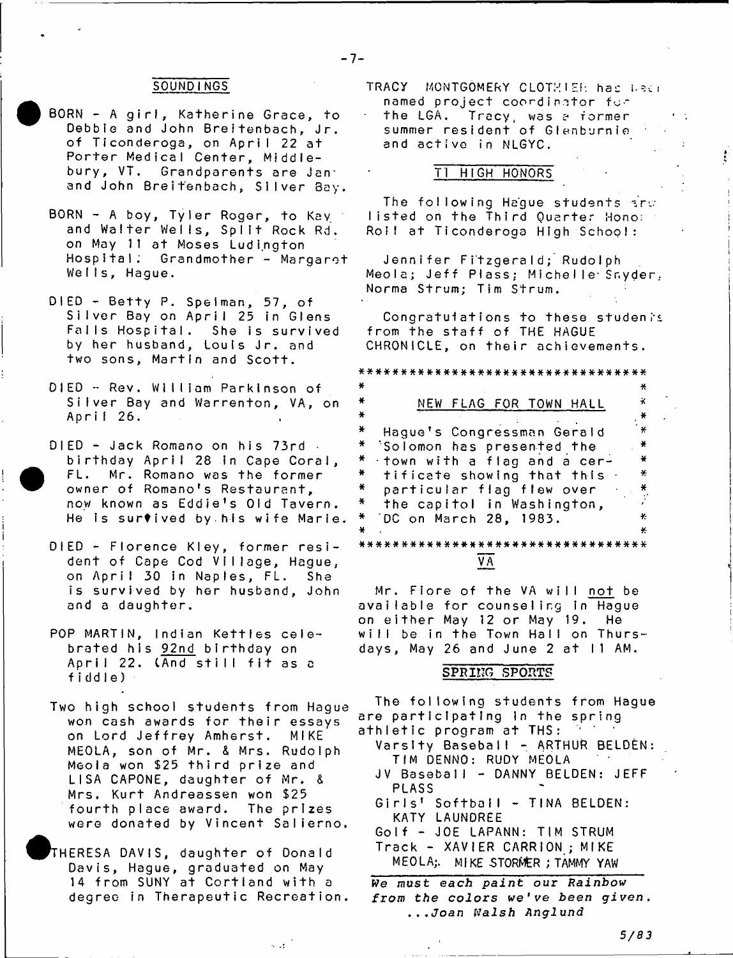### $-7-$

### SOUNDING5

- BORN A girl, Katherine Grace, to Debbie and John Breitenbach, Jr. of Ticonderoga, on April 22 at Porter Medical Center, Middlebury, VT. Grandparents are Janand John Breitenbach, Silver Bay.
- BORN A boy, Tyler Roger, to Kay and Walter Wells, Split Rock Rd. on May 11 at Moses Ludington Hospital; G randm other - Margaret Wells, Hague.
- DIED Betty P. Speiman, 57, of Silver Bay on April 25 in Glens Falls Hospital. She is survived by her husband, Louis Jr. and two sons, Martin and Scott.
- DIED Rev. William Parkinson of Silver Bay and Warrenton, VA, on April 26.
- DIED Jack Romano on his 73rd birthday April 28 In Cape Coral, FL. Mr. Romano was the former owner of Romano's Restaurant, now known as Eddie's Old Tavern. He is survived by his wife Marie.
- DIED Florence Kley, former resident of Cape Cod Village, Hague, on April 30 in Naples, FL. She is survived by her husband, John and a daughter.
- POP MARTIN, Indian Kettles celebrated his 92nd birthday on April 22. (And still fit as a fiddle)
- Two high school students from Hague won cash awards for their essays on Lord Jeffrey Amherst. MIKE MEOLA, son of Mr. & Mrs. Rudolph Meola won \$25 third prize and LISA CAPONE, daughter of Mr. & Mrs. Kurt Andreassen won \$25 fourth place award. The prizes were donated by Vincent Salierno.
- + T HERESA DAVIS, daughter of Donald Davis, Hague, graduated on May 14 from SUNY at Cortland with a degree in Therapeutic Recreation.

 $\sim 12$ 

TRACY MONTGOMERY CLOTHIER has less named project coordinator fo~

the LGA. Tracy, was a former summer resident of Glenburnie and active in NLGYC.

## TI HIGH HONORS

The following Hague students  $\pm r \circ$ listed on the Third Quarter Hono: Roll at Ticonderoga High School:

Jennifer F itzge rald; Rudolph Meola; Jeff Plass; Michelle Snyder, Norma Strum; Tim Strum.

Congratuiations to these students from the staff of THE HAGUE CHRONICLE, on their achievements.

\* \* \* \* \* \* \* \* \* \* \* \* \* \* \* \* \* \* \* \* \* \* \* \* \* \* \* \* \* \* \* \* \* \*

| ¥  |                                    |               |
|----|------------------------------------|---------------|
| ¥  | NEW FLAG FOR TOWN HALL             | х             |
| ×  |                                    | $\ast$        |
| ¥. | Hague's Congressman Gerald         | ¥             |
| ¥. | Solomon has presented the          | $\bullet$     |
| ₩. | town with a flag and a cer-        | $\rightarrow$ |
| ¥. | tificate showing that this         | $\star$       |
| ¥. | particular flag flew over          | ×             |
| X  | the capitol in Washington,         |               |
| ×  | DC on March 28, 1983.              | ¥.            |
| ¥  |                                    | ¥.            |
|    | ********************************** |               |
|    |                                    |               |

*Y E*

Mr. Flore of the VA will not be available for counseling in Hague on either May 12 or May 19. He will be in the Town Hall on Thursdays, May 26 and June 2 at  $11$  AM.

### **SPHIHG SPORTS**

The following students from Hague are participating in the spring athletic program at THS:

- Varsity Baseball ARTHUR BELDEN: TIM DENNO: RUDY MEOLA
- JV Baseball DANNY BELDEN: JEFF PLASS
- Girls' Softbail TINA BELDEN: KATY LAUNDREE
- Golf JOE LAPANN: TIM STRUM Track - XAVIER CARRION ; MIKE
- MEOLA; MIKE STORMER; TAMMY YAW

 $We must each paint our Rainbow$ from the colors we've been given. *. . .Joan Walsh Anglund*